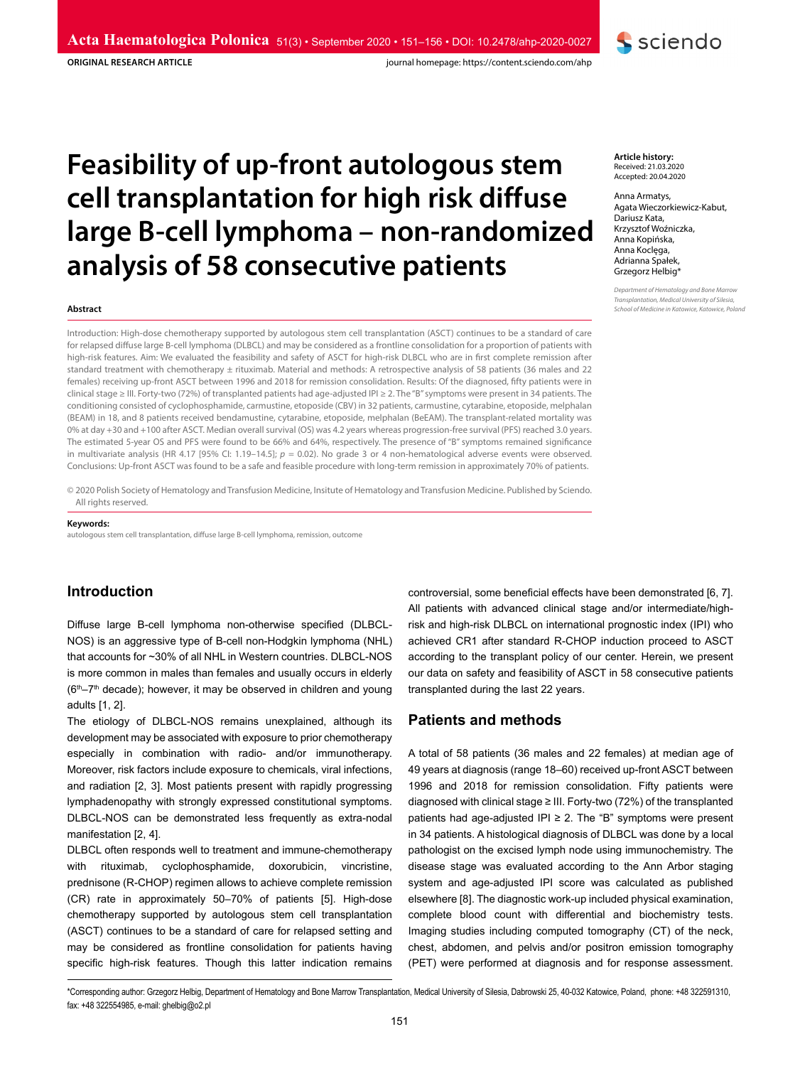**ORIGINAL RESEARCH ARTICLE**

journal homepage: https://content.sciendo.com/ahp

# **Feasibility of up-front autologous stem cell transplantation for high risk diffuse large B-cell lymphoma – non-randomized analysis of 58 consecutive patients**

#### **Abstract**

Introduction: High-dose chemotherapy supported by autologous stem cell transplantation (ASCT) continues to be a standard of care for relapsed diffuse large B-cell lymphoma (DLBCL) and may be considered as a frontline consolidation for a proportion of patients with high-risk features. Aim: We evaluated the feasibility and safety of ASCT for high-risk DLBCL who are in first complete remission after standard treatment with chemotherapy ± rituximab. Material and methods: A retrospective analysis of 58 patients (36 males and 22 females) receiving up-front ASCT between 1996 and 2018 for remission consolidation. Results: Of the diagnosed, fifty patients were in clinical stage ≥ III. Forty-two (72%) of transplanted patients had age-adjusted IPI ≥ 2. The "B" symptoms were present in 34 patients. The conditioning consisted of cyclophosphamide, carmustine, etoposide (CBV) in 32 patients, carmustine, cytarabine, etoposide, melphalan (BEAM) in 18, and 8 patients received bendamustine, cytarabine, etoposide, melphalan (BeEAM). The transplant-related mortality was 0% at day +30 and +100 after ASCT. Median overall survival (OS) was 4.2 years whereas progression-free survival (PFS) reached 3.0 years. The estimated 5-year OS and PFS were found to be 66% and 64%, respectively. The presence of "B" symptoms remained significance in multivariate analysis (HR 4.17 [95% CI: 1.19–14.5]; *p* = 0.02). No grade 3 or 4 non-hematological adverse events were observed. Conclusions: Up-front ASCT was found to be a safe and feasible procedure with long-term remission in approximately 70% of patients.

© 2020 Polish Society of Hematology and Transfusion Medicine, Insitute of Hematology and Transfusion Medicine. Published by Sciendo. All rights reserved.

#### **Keywords:**

autologous stem cell transplantation, diffuse large B-cell lymphoma, remission, outcome

# **Introduction**

Diffuse large B-cell lymphoma non-otherwise specified (DLBCL-NOS) is an aggressive type of B-cell non-Hodgkin lymphoma (NHL) that accounts for ~30% of all NHL in Western countries. DLBCL-NOS is more common in males than females and usually occurs in elderly (6<sup>th</sup>–7<sup>th</sup> decade); however, it may be observed in children and young adults [1, 2].

The etiology of DLBCL-NOS remains unexplained, although its development may be associated with exposure to prior chemotherapy especially in combination with radio- and/or immunotherapy. Moreover, risk factors include exposure to chemicals, viral infections, and radiation [2, 3]. Most patients present with rapidly progressing lymphadenopathy with strongly expressed constitutional symptoms. DLBCL-NOS can be demonstrated less frequently as extra-nodal manifestation [2, 4].

DLBCL often responds well to treatment and immune-chemotherapy with rituximab, cyclophosphamide, doxorubicin, vincristine, prednisone (R-CHOP) regimen allows to achieve complete remission (CR) rate in approximately 50–70% of patients [5]. High-dose chemotherapy supported by autologous stem cell transplantation (ASCT) continues to be a standard of care for relapsed setting and may be considered as frontline consolidation for patients having specific high-risk features. Though this latter indication remains

controversial, some beneficial effects have been demonstrated [6, 7]. All patients with advanced clinical stage and/or intermediate/highrisk and high-risk DLBCL on international prognostic index (IPI) who achieved CR1 after standard R-CHOP induction proceed to ASCT according to the transplant policy of our center. Herein, we present our data on safety and feasibility of ASCT in 58 consecutive patients transplanted during the last 22 years.

# **Patients and methods**

A total of 58 patients (36 males and 22 females) at median age of 49 years at diagnosis (range 18–60) received up-front ASCT between 1996 and 2018 for remission consolidation. Fifty patients were diagnosed with clinical stage ≥ III. Forty-two (72%) of the transplanted patients had age-adjusted IPI ≥ 2. The "B" symptoms were present in 34 patients. A histological diagnosis of DLBCL was done by a local pathologist on the excised lymph node using immunochemistry. The disease stage was evaluated according to the Ann Arbor staging system and age-adjusted IPI score was calculated as published elsewhere [8]. The diagnostic work-up included physical examination, complete blood count with differential and biochemistry tests. Imaging studies including computed tomography (CT) of the neck, chest, abdomen, and pelvis and/or positron emission tomography (PET) were performed at diagnosis and for response assessment.

**Article history:** Received: 21.03.2020 Accepted: 20.04.2020

Anna Armatys, Agata Wieczorkiewicz-Kabut, Dariusz Kata, Krzysztof Woźniczka, Anna Kopińska, Anna Koclęga, Adrianna Spałek, Grzegorz Helbig\*

**S** sciendo

*Department of Hematology and Bone Marrow Transplantation, Medical University of Silesia, School of Medicine in Katowice, Katowice, Poland*

\*Corresponding author: Grzegorz Helbig, Department of Hematology and Bone Marrow Transplantation, Medical University of Silesia, Dabrowski 25, 40-032 Katowice, Poland, phone: +48 322591310, fax: +48 322554985, e-mail: ghelbig@o2.pl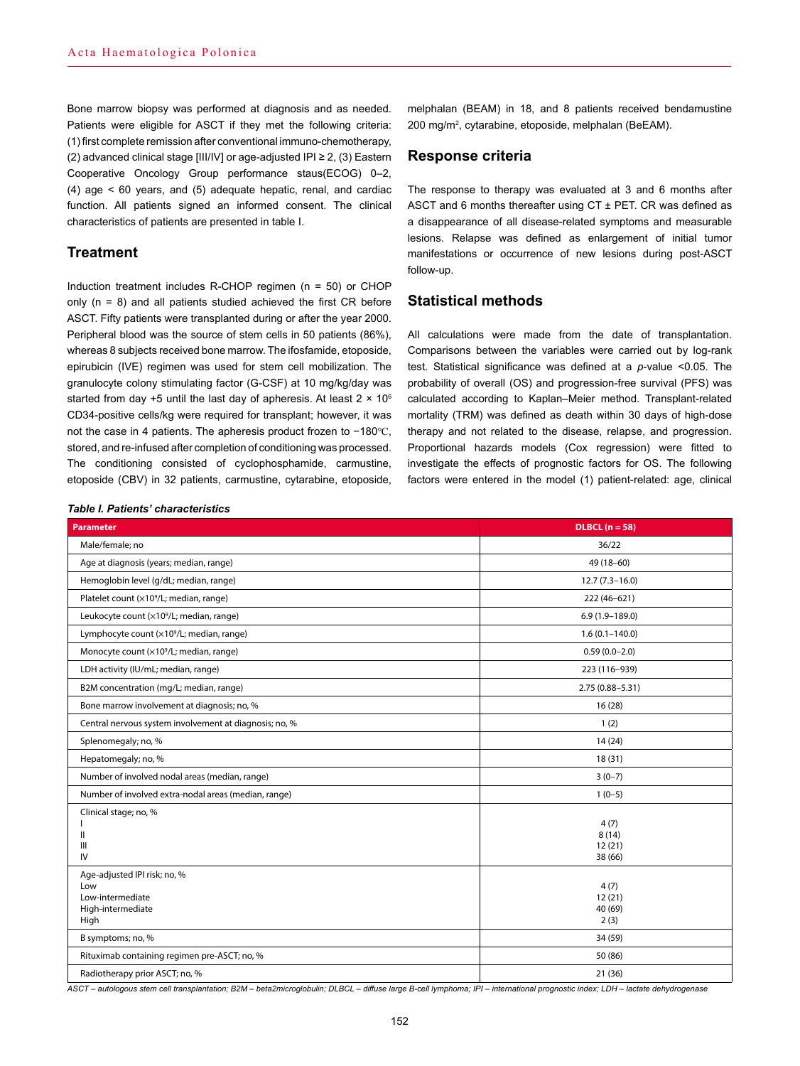Bone marrow biopsy was performed at diagnosis and as needed. Patients were eligible for ASCT if they met the following criteria: (1) first complete remission after conventional immuno-chemotherapy, (2) advanced clinical stage [III/IV] or age-adjusted IPI ≥ 2, (3) Eastern Cooperative Oncology Group performance staus(ECOG) 0–2, (4) age < 60 years, and (5) adequate hepatic, renal, and cardiac function. All patients signed an informed consent. The clinical characteristics of patients are presented in table I.

## **Treatment**

Induction treatment includes R-CHOP regimen (n = 50) or CHOP only  $(n = 8)$  and all patients studied achieved the first CR before ASCT. Fifty patients were transplanted during or after the year 2000. Peripheral blood was the source of stem cells in 50 patients (86%), whereas 8 subjects received bone marrow. The ifosfamide, etoposide, epirubicin (IVE) regimen was used for stem cell mobilization. The granulocyte colony stimulating factor (G-CSF) at 10 mg/kg/day was started from day +5 until the last day of apheresis. At least  $2 \times 10^6$ CD34-positive cells/kg were required for transplant; however, it was not the case in 4 patients. The apheresis product frozen to −180℃, stored, and re-infused after completion of conditioning was processed. The conditioning consisted of cyclophosphamide, carmustine, etoposide (CBV) in 32 patients, carmustine, cytarabine, etoposide,

melphalan (BEAM) in 18, and 8 patients received bendamustine 200 mg/m<sup>2</sup> , cytarabine, etoposide, melphalan (BeEAM).

## **Response criteria**

The response to therapy was evaluated at 3 and 6 months after ASCT and 6 months thereafter using CT ± PET. CR was defined as a disappearance of all disease-related symptoms and measurable lesions. Relapse was defined as enlargement of initial tumor manifestations or occurrence of new lesions during post-ASCT follow-up.

# **Statistical methods**

All calculations were made from the date of transplantation. Comparisons between the variables were carried out by log-rank test. Statistical significance was defined at a *p*-value <0.05. The probability of overall (OS) and progression-free survival (PFS) was calculated according to Kaplan–Meier method. Transplant-related mortality (TRM) was defined as death within 30 days of high-dose therapy and not related to the disease, relapse, and progression. Proportional hazards models (Cox regression) were fitted to investigate the effects of prognostic factors for OS. The following factors were entered in the model (1) patient-related: age, clinical

#### *Table I. Patients' characteristics*

| <b>Parameter</b>                                                                     | $DLBCL (n = 58)$                   |
|--------------------------------------------------------------------------------------|------------------------------------|
| Male/female: no                                                                      | 36/22                              |
| Age at diagnosis (years; median, range)                                              | 49 (18-60)                         |
| Hemoglobin level (g/dL; median, range)                                               | $12.7(7.3-16.0)$                   |
| Platelet count (x10 <sup>9</sup> /L; median, range)                                  | 222 (46-621)                       |
| Leukocyte count (x10 <sup>9</sup> /L; median, range)                                 | $6.9(1.9 - 189.0)$                 |
| Lymphocyte count (x10 <sup>9</sup> /L; median, range)                                | $1.6(0.1 - 140.0)$                 |
| Monocyte count (×10 <sup>9</sup> /L; median, range)                                  | $0.59(0.0-2.0)$                    |
| LDH activity (IU/mL; median, range)                                                  | 223 (116-939)                      |
| B2M concentration (mg/L; median, range)                                              | $2.75(0.88 - 5.31)$                |
| Bone marrow involvement at diagnosis; no, %                                          | 16(28)                             |
| Central nervous system involvement at diagnosis; no, %                               | 1(2)                               |
| Splenomegaly; no, %                                                                  | 14(24)                             |
| Hepatomegaly; no, %                                                                  | 18(31)                             |
| Number of involved nodal areas (median, range)                                       | $3(0-7)$                           |
| Number of involved extra-nodal areas (median, range)                                 | $1(0-5)$                           |
| Clinical stage; no, %<br>Ш<br>Ш<br>IV                                                | 4(7)<br>8(14)<br>12(21)<br>38 (66) |
| Age-adjusted IPI risk; no, %<br>Low<br>Low-intermediate<br>High-intermediate<br>High | 4(7)<br>12(21)<br>40 (69)<br>2(3)  |
| B symptoms; no, %                                                                    | 34 (59)                            |
| Rituximab containing regimen pre-ASCT; no, %                                         | 50 (86)                            |
| Radiotherapy prior ASCT; no, %                                                       | 21(36)                             |

*ASCT – autologous stem cell transplantation; B2M – beta2microglobulin; DLBCL – diffuse large B-cell lymphoma; IPI – international prognostic index; LDH – lactate dehydrogenase*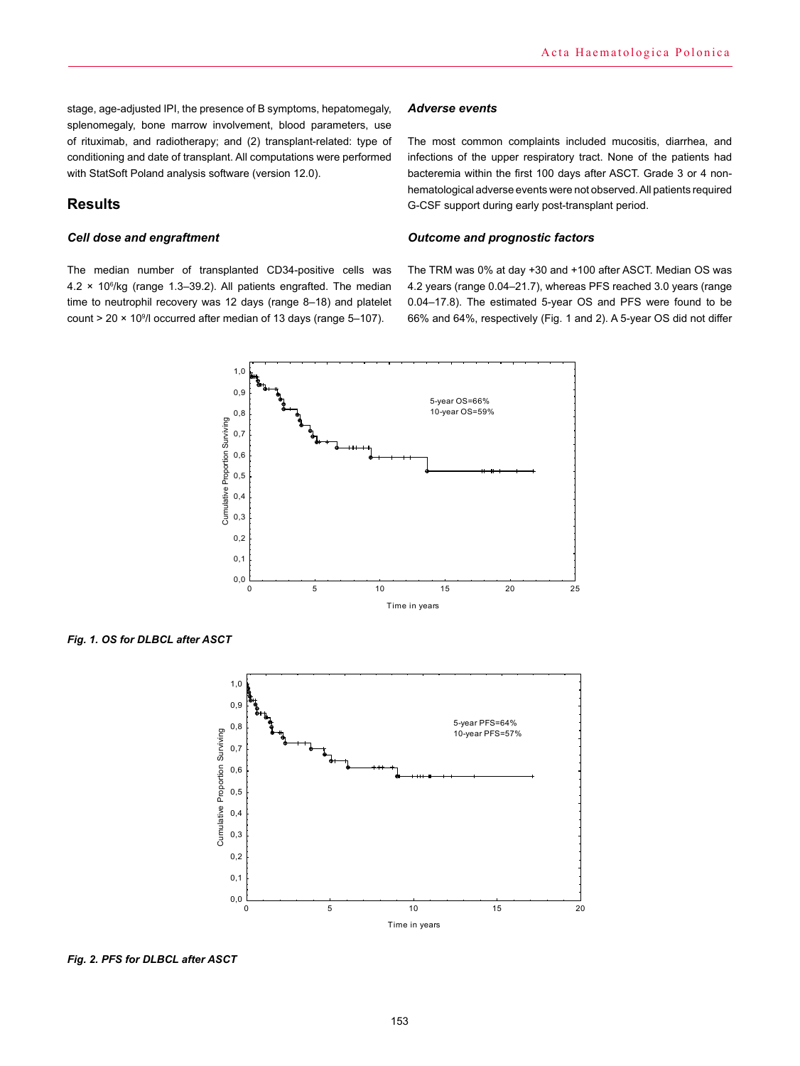stage, age-adjusted IPI, the presence of B symptoms, hepatomegaly, splenomegaly, bone marrow involvement, blood parameters, use of rituximab, and radiotherapy; and (2) transplant-related: type of conditioning and date of transplant. All computations were performed with StatSoft Poland analysis software (version 12.0).

# **Results**

### *Cell dose and engraftment*

The median number of transplanted CD34-positive cells was 4.2 × 10<sup>6</sup> /kg (range 1.3–39.2). All patients engrafted. The median time to neutrophil recovery was 12 days (range 8–18) and platelet count > 20 × 10<sup>9</sup> /l occurred after median of 13 days (range 5–107).

#### *Adverse events*

The most common complaints included mucositis, diarrhea, and infections of the upper respiratory tract. None of the patients had bacteremia within the first 100 days after ASCT. Grade 3 or 4 nonhematological adverse events were not observed. All patients required G-CSF support during early post-transplant period.

### *Outcome and prognostic factors*

The TRM was 0% at day +30 and +100 after ASCT. Median OS was 4.2 years (range 0.04–21.7), whereas PFS reached 3.0 years (range 0.04–17.8). The estimated 5-year OS and PFS were found to be 66% and 64%, respectively (Fig. 1 and 2). A 5-year OS did not differ



*Fig. 1. OS for DLBCL after ASCT*



*Fig. 2. PFS for DLBCL after ASCT*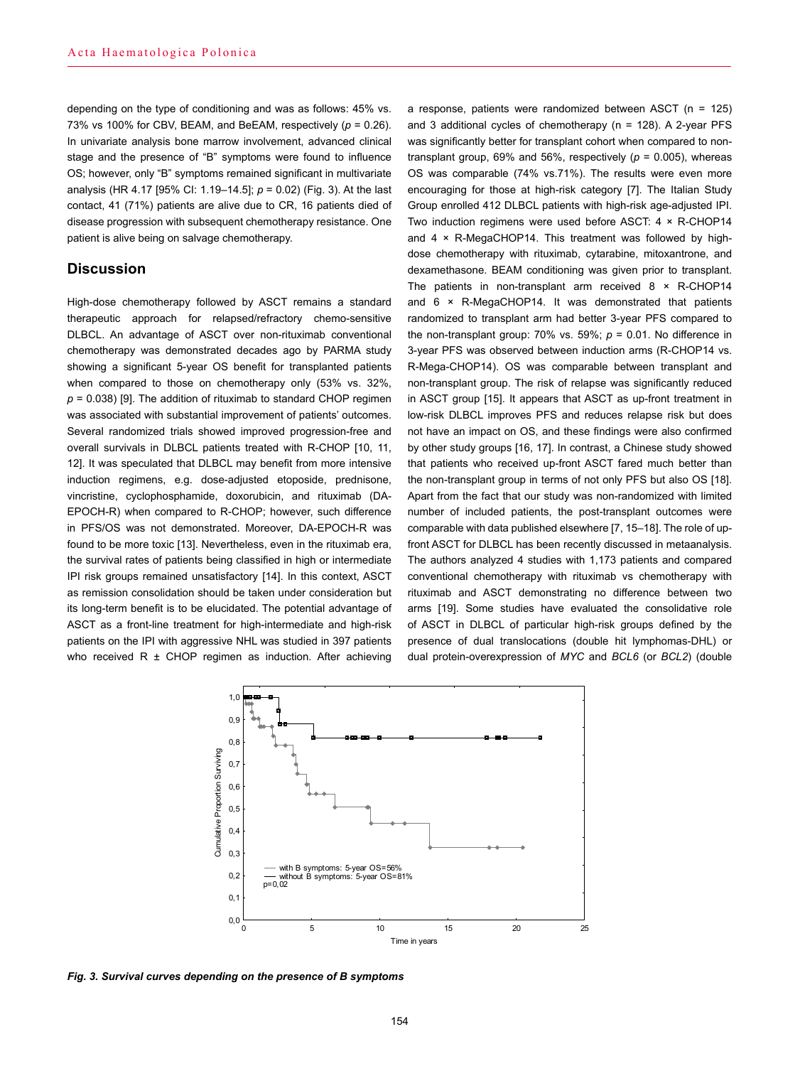depending on the type of conditioning and was as follows: 45% vs. 73% vs 100% for CBV, BEAM, and BeEAM, respectively (*p* = 0.26). In univariate analysis bone marrow involvement, advanced clinical stage and the presence of "B" symptoms were found to influence OS; however, only "B" symptoms remained significant in multivariate analysis (HR 4.17 [95% CI: 1.19–14.5]; *p* = 0.02) (Fig. 3). At the last contact, 41 (71%) patients are alive due to CR, 16 patients died of disease progression with subsequent chemotherapy resistance. One patient is alive being on salvage chemotherapy.

## **Discussion**

High-dose chemotherapy followed by ASCT remains a standard therapeutic approach for relapsed/refractory chemo-sensitive DLBCL. An advantage of ASCT over non-rituximab conventional chemotherapy was demonstrated decades ago by PARMA study showing a significant 5-year OS benefit for transplanted patients when compared to those on chemotherapy only (53% vs. 32%,  $p = 0.038$ ) [9]. The addition of rituximab to standard CHOP regimen was associated with substantial improvement of patients' outcomes. Several randomized trials showed improved progression-free and overall survivals in DLBCL patients treated with R-CHOP [10, 11, 12]. It was speculated that DLBCL may benefit from more intensive induction regimens, e.g. dose-adjusted etoposide, prednisone, vincristine, cyclophosphamide, doxorubicin, and rituximab (DA-EPOCH-R) when compared to R-CHOP; however, such difference in PFS/OS was not demonstrated. Moreover, DA-EPOCH-R was found to be more toxic [13]. Nevertheless, even in the rituximab era, the survival rates of patients being classified in high or intermediate IPI risk groups remained unsatisfactory [14]. In this context, ASCT as remission consolidation should be taken under consideration but its long-term benefit is to be elucidated. The potential advantage of ASCT as a front-line treatment for high-intermediate and high-risk patients on the IPI with aggressive NHL was studied in 397 patients who received  $R \pm CHOP$  regimen as induction. After achieving

a response, patients were randomized between ASCT (n = 125) and 3 additional cycles of chemotherapy (n = 128). A 2-year PFS was significantly better for transplant cohort when compared to nontransplant group, 69% and 56%, respectively  $(p = 0.005)$ , whereas OS was comparable (74% vs.71%). The results were even more encouraging for those at high-risk category [7]. The Italian Study Group enrolled 412 DLBCL patients with high-risk age-adjusted IPI. Two induction regimens were used before ASCT: 4 × R-CHOP14 and 4 × R-MegaCHOP14. This treatment was followed by highdose chemotherapy with rituximab, cytarabine, mitoxantrone, and dexamethasone. BEAM conditioning was given prior to transplant. The patients in non-transplant arm received 8 × R-CHOP14 and 6 × R-MegaCHOP14. It was demonstrated that patients randomized to transplant arm had better 3-year PFS compared to the non-transplant group:  $70\%$  vs.  $59\%$ ;  $p = 0.01$ . No difference in 3-year PFS was observed between induction arms (R-CHOP14 vs. R-Mega-CHOP14). OS was comparable between transplant and non-transplant group. The risk of relapse was significantly reduced in ASCT group [15]. It appears that ASCT as up-front treatment in low-risk DLBCL improves PFS and reduces relapse risk but does not have an impact on OS, and these findings were also confirmed by other study groups [16, 17]. In contrast, a Chinese study showed that patients who received up-front ASCT fared much better than the non-transplant group in terms of not only PFS but also OS [18]. Apart from the fact that our study was non-randomized with limited number of included patients, the post-transplant outcomes were comparable with data published elsewhere [7, 15–18]. The role of upfront ASCT for DLBCL has been recently discussed in metaanalysis. The authors analyzed 4 studies with 1,173 patients and compared conventional chemotherapy with rituximab vs chemotherapy with rituximab and ASCT demonstrating no difference between two arms [19]. Some studies have evaluated the consolidative role of ASCT in DLBCL of particular high-risk groups defined by the presence of dual translocations (double hit lymphomas-DHL) or dual protein-overexpression of *MYC* and *BCL6* (or *BCL2*) (double



*Fig. 3. Survival curves depending on the presence of B symptoms*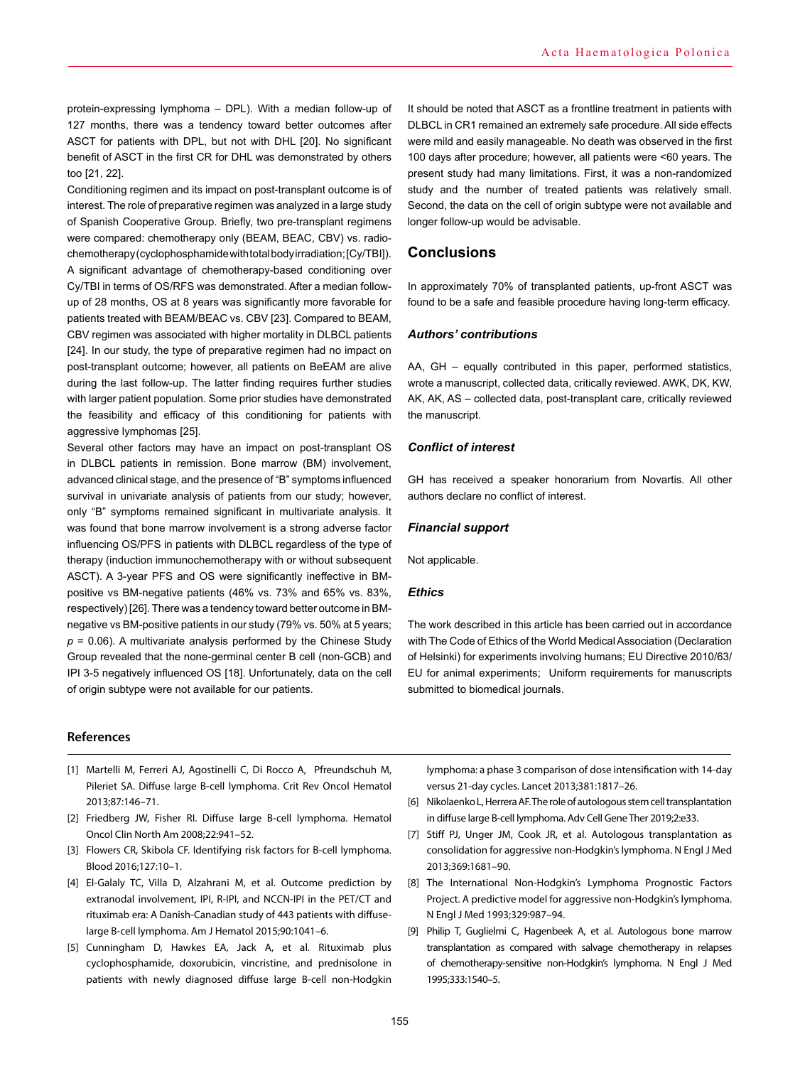protein-expressing lymphoma – DPL). With a median follow-up of 127 months, there was a tendency toward better outcomes after ASCT for patients with DPL, but not with DHL [20]. No significant benefit of ASCT in the first CR for DHL was demonstrated by others too [21, 22].

Conditioning regimen and its impact on post-transplant outcome is of interest. The role of preparative regimen was analyzed in a large study of Spanish Cooperative Group. Briefly, two pre-transplant regimens were compared: chemotherapy only (BEAM, BEAC, CBV) vs. radiochemotherapy (cyclophosphamide with total body irradiation; [Cy/TBI]). A significant advantage of chemotherapy-based conditioning over Cy/TBI in terms of OS/RFS was demonstrated. After a median followup of 28 months, OS at 8 years was significantly more favorable for patients treated with BEAM/BEAC vs. CBV [23]. Compared to BEAM, CBV regimen was associated with higher mortality in DLBCL patients [24]. In our study, the type of preparative regimen had no impact on post-transplant outcome; however, all patients on BeEAM are alive during the last follow-up. The latter finding requires further studies with larger patient population. Some prior studies have demonstrated the feasibility and efficacy of this conditioning for patients with aggressive lymphomas [25].

Several other factors may have an impact on post-transplant OS in DLBCL patients in remission. Bone marrow (BM) involvement, advanced clinical stage, and the presence of "B" symptoms influenced survival in univariate analysis of patients from our study; however, only "B" symptoms remained significant in multivariate analysis. It was found that bone marrow involvement is a strong adverse factor influencing OS/PFS in patients with DLBCL regardless of the type of therapy (induction immunochemotherapy with or without subsequent ASCT). A 3-year PFS and OS were significantly ineffective in BMpositive vs BM-negative patients (46% vs. 73% and 65% vs. 83%, respectively) [26]. There was a tendency toward better outcome in BMnegative vs BM-positive patients in our study (79% vs. 50% at 5 years;  $p = 0.06$ ). A multivariate analysis performed by the Chinese Study Group revealed that the none-germinal center B cell (non-GCB) and IPI 3-5 negatively influenced OS [18]. Unfortunately, data on the cell of origin subtype were not available for our patients.

#### **References**

- [1] Martelli M, Ferreri AJ, Agostinelli C, Di Rocco A, Pfreundschuh M, Pileriet SA. Diffuse large B-cell lymphoma. Crit Rev Oncol Hematol 2013;87:146–71.
- [2] Friedberg JW, Fisher RI. Diffuse large B-cell lymphoma. Hematol Oncol Clin North Am 2008;22:941–52.
- [3] Flowers CR, Skibola CF. Identifying risk factors for B-cell lymphoma. Blood 2016;127:10–1.
- [4] El-Galaly TC, Villa D, Alzahrani M, et al. Outcome prediction by extranodal involvement, IPI, R-IPI, and NCCN-IPI in the PET/CT and rituximab era: A Danish-Canadian study of 443 patients with diffuselarge B-cell lymphoma. Am J Hematol 2015;90:1041–6.
- [5] Cunningham D, Hawkes EA, Jack A, et al. Rituximab plus cyclophosphamide, doxorubicin, vincristine, and prednisolone in patients with newly diagnosed diffuse large B-cell non-Hodgkin

It should be noted that ASCT as a frontline treatment in patients with DLBCL in CR1 remained an extremely safe procedure. All side effects were mild and easily manageable. No death was observed in the first 100 days after procedure; however, all patients were <60 years. The present study had many limitations. First, it was a non-randomized study and the number of treated patients was relatively small. Second, the data on the cell of origin subtype were not available and longer follow-up would be advisable.

## **Conclusions**

In approximately 70% of transplanted patients, up-front ASCT was found to be a safe and feasible procedure having long-term efficacy.

## *Authors' contributions*

AA, GH – equally contributed in this paper, performed statistics, wrote a manuscript, collected data, critically reviewed. AWK, DK, KW, AK, AK, AS – collected data, post-transplant care, critically reviewed the manuscript.

### *Conflict of interest*

GH has received a speaker honorarium from Novartis. All other authors declare no conflict of interest.

## *Financial support*

Not applicable.

#### *Ethics*

The work described in this article has been carried out in accordance with The Code of Ethics of the World Medical Association (Declaration of Helsinki) for experiments involving humans; EU Directive 2010/63/ EU for animal experiments; Uniform requirements for manuscripts submitted to biomedical journals.

lymphoma: a phase 3 comparison of dose intensification with 14-day versus 21-day cycles. Lancet 2013;381:1817–26.

- [6] Nikolaenko L, Herrera AF. The role of autologous stem cell transplantation in diffuse large B‐cell lymphoma. Adv Cell Gene Ther 2019;2:e33.
- [7] Stiff PJ, Unger JM, Cook JR, et al. Autologous transplantation as consolidation for aggressive non-Hodgkin's lymphoma. N Engl J Med 2013;369:1681–90.
- [8] The International Non-Hodgkin's Lymphoma Prognostic Factors Project. A predictive model for aggressive non-Hodgkin's lymphoma. N Engl J Med 1993;329:987–94.
- [9] Philip T, Guglielmi C, Hagenbeek A, et al. Autologous bone marrow transplantation as compared with salvage chemotherapy in relapses of chemotherapy-sensitive non-Hodgkin's lymphoma. N Engl J Med 1995;333:1540–5.